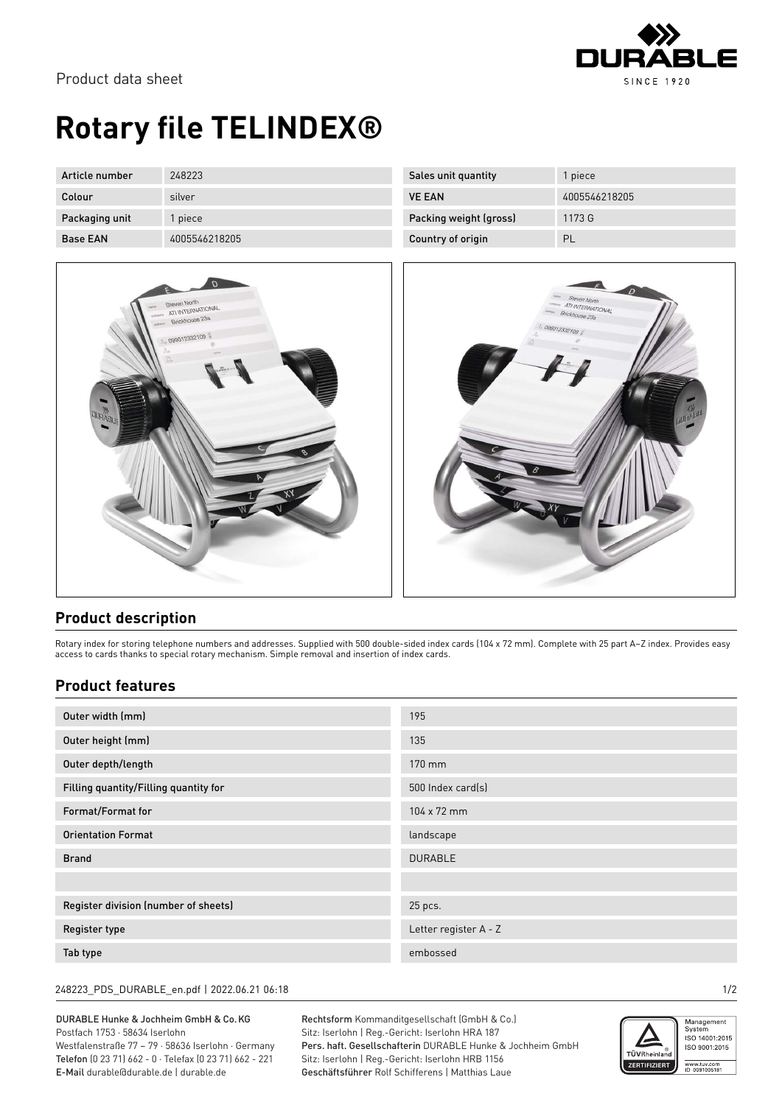

# **Rotary file TELINDEX®**

| Article number  | 248223        |
|-----------------|---------------|
| Colour          | silver        |
| Packaging unit  | 1 piece       |
| <b>Base FAN</b> | 4005546218205 |



| Sales unit quantity    | 1 piece       |
|------------------------|---------------|
| <b>VE EAN</b>          | 4005546218205 |
| Packing weight (gross) | 1173 G        |
| Country of origin      |               |



### **Product description**

Rotary index for storing telephone numbers and addresses. Supplied with 500 double-sided index cards (104 x 72 mm). Complete with 25 part A–Z index. Provides easy access to cards thanks to special rotary mechanism. Simple removal and insertion of index cards.

### **Product features**

| Outer width (mm)                      | 195                   |
|---------------------------------------|-----------------------|
| Outer height (mm)                     | 135                   |
| Outer depth/length                    | 170 mm                |
| Filling quantity/Filling quantity for | 500 Index card(s)     |
| Format/Format for                     | 104 x 72 mm           |
| <b>Orientation Format</b>             | landscape             |
| <b>Brand</b>                          | <b>DURABLE</b>        |
|                                       |                       |
| Register division (number of sheets)  | 25 pcs.               |
| <b>Register type</b>                  | Letter register A - Z |
| Tab type                              | embossed              |

#### 248223\_PDS\_DURABLE\_en.pdf | 2022.06.21 06:18 1/2

DURABLE Hunke & Jochheim GmbH & Co.KG Postfach 1753 · 58634 Iserlohn Westfalenstraße 77 – 79 · 58636 Iserlohn · Germany Telefon (0 23 71) 662 - 0 · Telefax (0 23 71) 662 - 221 E-Mail durable@durable.de | durable.de

Rechtsform Kommanditgesellschaft (GmbH & Co.) Sitz: Iserlohn | Reg.-Gericht: Iserlohn HRA 187 Pers. haft. Gesellschafterin DURABLE Hunke & Jochheim GmbH Sitz: Iserlohn | Reg.-Gericht: Iserlohn HRB 1156 Geschäftsführer Rolf Schifferens | Matthias Laue